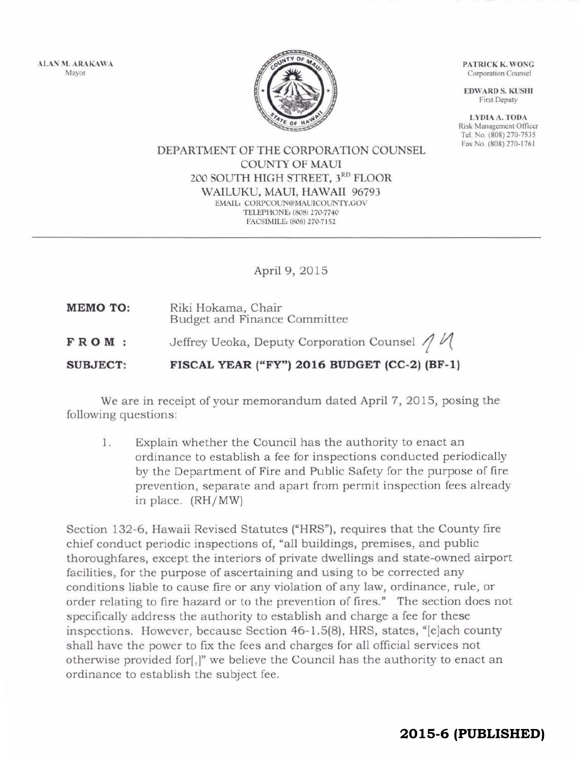ALAN M. ARAKAWA Mayor



PATRICK K. WONG Corporation Counsel

EDWARD S. KUSHI First Deputy

LYDIA A. TODA Risk Management Officer Tel No (808) 270-7535 Fax No. (808) 270-1761

## DEPARTMENT OF THE CORPORATION COUNSEL COUNTY OF MAUl 200 SOUTH HIGH STREET, 3RD FLOOR WAILUKU, MAUl, HAWAII 96793 EMAlL: CORPCOUN@MAVICOUNTY.GOV TELEPHONE: (808) 270-7740 FACSIMILE: (808) 270.7152

April 9, 2015

- **MEMO TO:**  Riki Hokama, Chair Budget and Finance Commitlee
- **FROM:**  Jeffrey Ueoka, Deputy Corporation Counsel  $\bigwedge$

**SUBJECT: FISCAL YEAR ("FY") 2016 BUDGET (CC-2) (BF-1)** 

We are in receipt of your memorandum dated April 7, 2015, posing the following questions:

1. Explain whether the Council has the authority to enact an ordinance to establish a fee for inspections conducted periodically by the Department of Fire and Public Safety for the purpose of fire prevention, separate and apart from permit inspection fees already in place.  $(RH/MW)$ 

Section 132-6, Hawaii Revised Statutes ("HRS"), requires that the County fire chief conduct periodic inspections of, "all buildings, premises, and public thoroughfares, except the interiors of private dwellings and state-owned airport facilities, for the purpose of ascertaining and using to be corrected any conditions liable to cause fire or any violation of any law, ordinance, rule, or order relating to fire hazard or to the prevention of fires." The section does not specifically address the authority to establish and charge a fee for these inspections. However, because Section 46-1.5(8), HRS, states, "[e]ach county shall have the power to fix the fees and charges for all official services not otherwise provided for[,]" we believe the Council has the authority to enact an ordinance to establish the subject fee.

## **2015-6 (PUBLISHED)**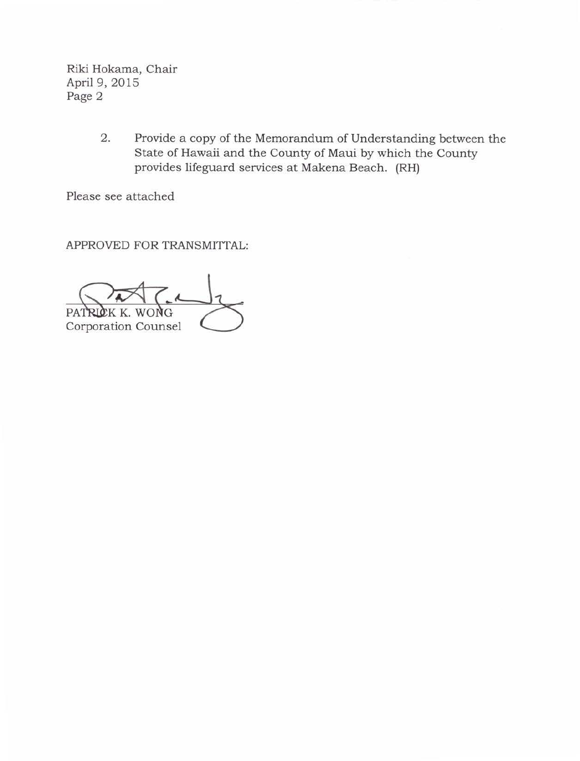Riki Hokama, Chair April 9, 2015 Page 2

> 2. Provide a copy of the Memorandum of Understanding between the State of Hawaii and the County of Maui by which the County provides lifeguard services at Makena Beach. (RH)

Please see attached

APPROVED FOR TRANSMITTAL:

**PATR** ONG Corporation Counsel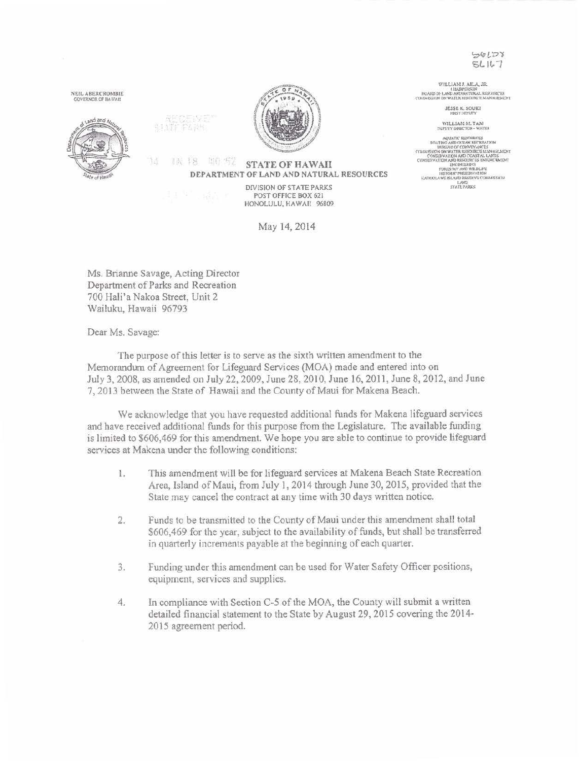$56108$  $5L1L7$ 

**NEIL ABERCROMBIE** GOVERNOR OF HAWAI







1周18 啪 惊 **STATE OF HAWAII** DEPARTMENT OF LAND AND NATURAL RESOURCES

> DIVISION OF STATE PARKS POST OFFICE BOX 621 HONOLULU, HAWAII 96809

> > May 14, 2014

WILLIAM J. AELA, JR. I ILABU ERKUN<br>IIOARD OF LAND AND NATURAL RESURREER<br>COMMISSION ON WATER RESOURCE MANAGEMENT

JESSE K. SOUKI

WILLIAM M. TAM

 $\begin{tabular}{c} \multicolumn{1}{c}{\textbf{AQUATE RLSNARECS}}\\ \multicolumn{1}{c}{\textbf{20.1760 AMD T} RLSMREERS}\\ \multicolumn{1}{c}{\textbf{10.850 AMD OF CERNAELS}}\\ \multicolumn{1}{c}{\textbf{10.850 A M/NR} RLSMERCARMAGMER}\\ \multicolumn{1}{c}{\textbf{10.850 A M/NR} RLSMERCARMAGMER}\\ \multicolumn{1}{c}{\textbf{10.850 A/MNR} RLSMERCARRMR}\\ \multicolumn{1}{c}{\textbf{10.850 A/MNR} RLSMER$ 

Ms. Brianne Savage, Acting Director Department of Parks and Recreation 700 Hali'a Nakoa Street, Unit 2 Wailuku, Hawaii 96793

1d

Dear Ms. Savage:

The purpose of this letter is to serve as the sixth written amendment to the Memorandum of Agreement for Lifeguard Services (MOA) made and entered into on July 3, 2008, as amended on July 22, 2009, June 28, 2010, June 16, 2011, June 8, 2012, and June 7, 2013 between the State of Hawaii and the County of Maui for Makena Beach.

We acknowledge that you have requested additional funds for Makena lifeguard services and have received additional funds for this purpose from the Legislature. The available funding is limited to \$606,469 for this amendment. We hope you are able to continue to provide lifeguard services at Makena under the following conditions:

- This amendment will be for lifeguard services at Makena Beach State Recreation L. Area, Island of Maui, from July 1, 2014 through June 30, 2015, provided that the State may cancel the contract at any time with 30 days written notice.
- $\overline{2}$ . Funds to be transmitted to the County of Maui under this amendment shall total \$606,469 for the year, subject to the availability of funds, but shall be transferred in quarterly increments payable at the beginning of each quarter.
- Funding under this amendment can be used for Water Safety Officer positions, 3. equipment, services and supplies.
- 4. In compliance with Section C-5 of the MOA, the County will submit a written detailed financial statement to the State by August 29, 2015 covering the 2014-2015 agreement period.